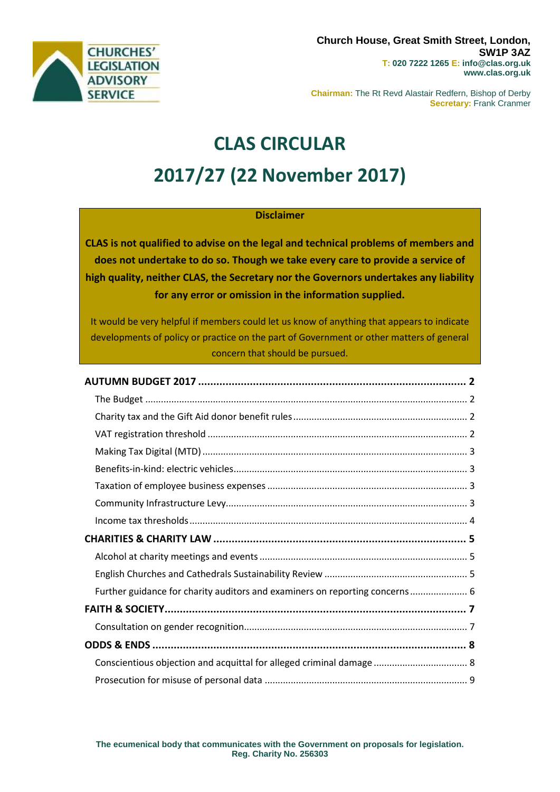

**Chairman:** The Rt Revd Alastair Redfern, Bishop of Derby **Secretary:** Frank Cranmer

# **CLAS CIRCULAR 2017/27 (22 November 2017)**

# **Disclaimer**

**CLAS is not qualified to advise on the legal and technical problems of members and does not undertake to do so. Though we take every care to provide a service of high quality, neither CLAS, the Secretary nor the Governors undertakes any liability for any error or omission in the information supplied.**

It would be very helpful if members could let us know of anything that appears to indicate developments of policy or practice on the part of Government or other matters of general concern that should be pursued.

| Further guidance for charity auditors and examiners on reporting concerns 6 |  |
|-----------------------------------------------------------------------------|--|
|                                                                             |  |
|                                                                             |  |
|                                                                             |  |
| Conscientious objection and acquittal for alleged criminal damage  8        |  |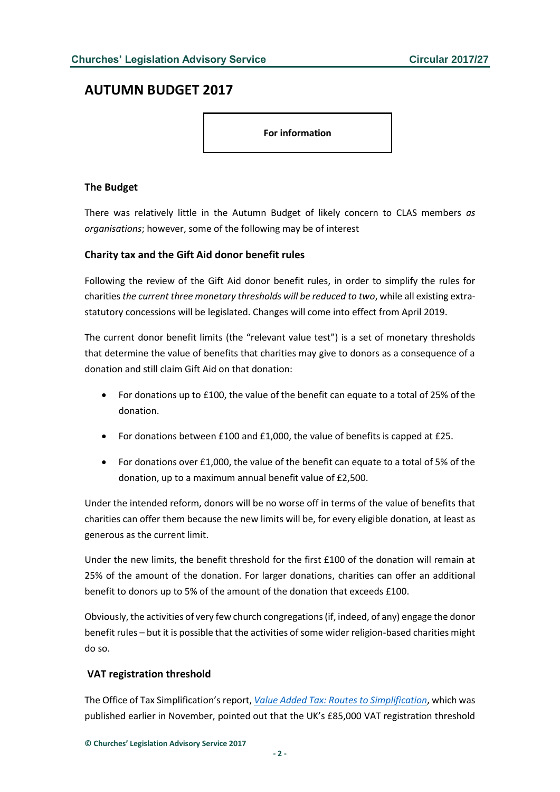# <span id="page-1-0"></span>**AUTUMN BUDGET 2017**

**For information**

#### <span id="page-1-1"></span>**The Budget**

There was relatively little in the Autumn Budget of likely concern to CLAS members *as organisations*; however, some of the following may be of interest

#### <span id="page-1-2"></span>**Charity tax and the Gift Aid donor benefit rules**

Following the review of the Gift Aid donor benefit rules, in order to simplify the rules for charities *the current three monetary thresholds will be reduced to two*, while all existing extrastatutory concessions will be legislated. Changes will come into effect from April 2019.

The current donor benefit limits (the "relevant value test") is a set of monetary thresholds that determine the value of benefits that charities may give to donors as a consequence of a donation and still claim Gift Aid on that donation:

- For donations up to £100, the value of the benefit can equate to a total of 25% of the donation.
- For donations between £100 and £1,000, the value of benefits is capped at £25.
- For donations over £1,000, the value of the benefit can equate to a total of 5% of the donation, up to a maximum annual benefit value of £2,500.

Under the intended reform, donors will be no worse off in terms of the value of benefits that charities can offer them because the new limits will be, for every eligible donation, at least as generous as the current limit.

Under the new limits, the benefit threshold for the first £100 of the donation will remain at 25% of the amount of the donation. For larger donations, charities can offer an additional benefit to donors up to 5% of the amount of the donation that exceeds £100.

Obviously, the activities of very few church congregations (if, indeed, of any) engage the donor benefit rules – but it is possible that the activities of some wider religion-based charities might do so.

## <span id="page-1-3"></span>**VAT registration threshold**

The Office of Tax Simplification's report, *[Value Added Tax: Routes to Simplification](https://www.gov.uk/government/uploads/system/uploads/attachment_data/file/657215/Value_added_tax_routes_to_simplification_print.pdf)*, which was published earlier in November, pointed out that the UK's £85,000 VAT registration threshold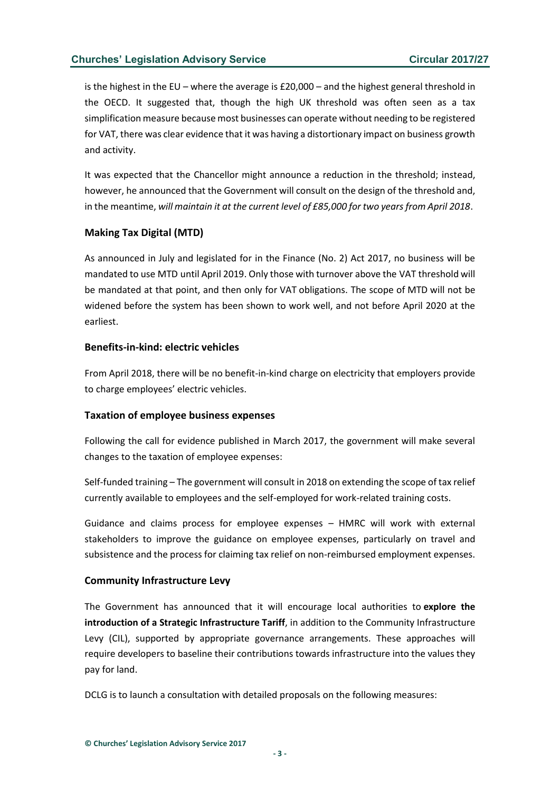is the highest in the EU – where the average is £20,000 – and the highest general threshold in the OECD. It suggested that, though the high UK threshold was often seen as a tax simplification measure because most businesses can operate without needing to be registered for VAT, there was clear evidence that it was having a distortionary impact on business growth and activity.

It was expected that the Chancellor might announce a reduction in the threshold; instead, however, he announced that the Government will consult on the design of the threshold and, in the meantime, *will maintain it at the current level of £85,000 for two years from April 2018*.

## <span id="page-2-0"></span>**Making Tax Digital (MTD)**

As announced in July and legislated for in the Finance (No. 2) Act 2017, no business will be mandated to use MTD until April 2019. Only those with turnover above the VAT threshold will be mandated at that point, and then only for VAT obligations. The scope of MTD will not be widened before the system has been shown to work well, and not before April 2020 at the earliest.

## <span id="page-2-1"></span>**Benefits-in-kind: electric vehicles**

From April 2018, there will be no benefit-in-kind charge on electricity that employers provide to charge employees' electric vehicles.

## <span id="page-2-2"></span>**Taxation of employee business expenses**

Following the call for evidence published in March 2017, the government will make several changes to the taxation of employee expenses:

Self-funded training – The government will consult in 2018 on extending the scope of tax relief currently available to employees and the self-employed for work-related training costs.

Guidance and claims process for employee expenses – HMRC will work with external stakeholders to improve the guidance on employee expenses, particularly on travel and subsistence and the process for claiming tax relief on non-reimbursed employment expenses.

## <span id="page-2-3"></span>**Community Infrastructure Levy**

The Government has announced that it will encourage local authorities to **explore the introduction of a Strategic Infrastructure Tariff**, in addition to the Community Infrastructure Levy (CIL), supported by appropriate governance arrangements. These approaches will require developers to baseline their contributions towards infrastructure into the values they pay for land.

DCLG is to launch a consultation with detailed proposals on the following measures: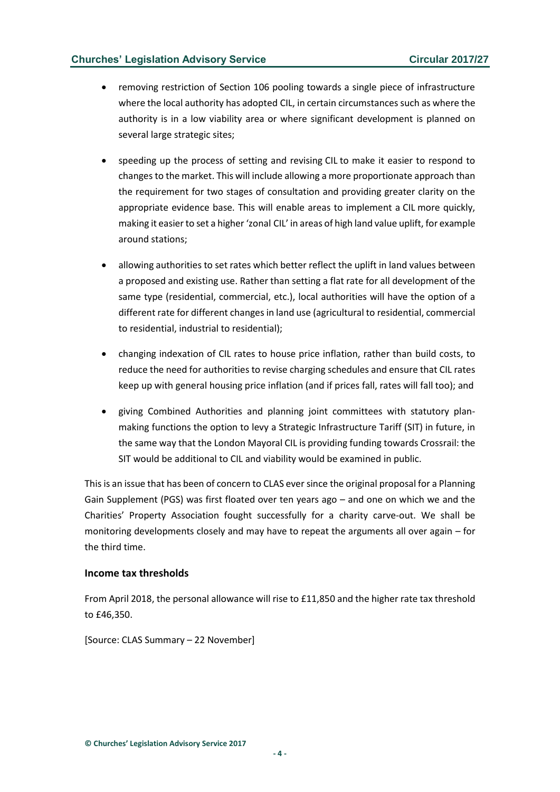- removing restriction of Section 106 pooling towards a single piece of infrastructure where the local authority has adopted CIL, in certain circumstances such as where the authority is in a low viability area or where significant development is planned on several large strategic sites;
- speeding up the process of setting and revising CIL to make it easier to respond to changes to the market. This will include allowing a more proportionate approach than the requirement for two stages of consultation and providing greater clarity on the appropriate evidence base. This will enable areas to implement a CIL more quickly, making it easier to set a higher 'zonal CIL' in areas of high land value uplift, for example around stations;
- allowing authorities to set rates which better reflect the uplift in land values between a proposed and existing use. Rather than setting a flat rate for all development of the same type (residential, commercial, etc.), local authorities will have the option of a different rate for different changes in land use (agricultural to residential, commercial to residential, industrial to residential);
- changing indexation of CIL rates to house price inflation, rather than build costs, to reduce the need for authorities to revise charging schedules and ensure that CIL rates keep up with general housing price inflation (and if prices fall, rates will fall too); and
- giving Combined Authorities and planning joint committees with statutory planmaking functions the option to levy a Strategic Infrastructure Tariff (SIT) in future, in the same way that the London Mayoral CIL is providing funding towards Crossrail: the SIT would be additional to CIL and viability would be examined in public.

This is an issue that has been of concern to CLAS ever since the original proposal for a Planning Gain Supplement (PGS) was first floated over ten years ago – and one on which we and the Charities' Property Association fought successfully for a charity carve-out. We shall be monitoring developments closely and may have to repeat the arguments all over again – for the third time.

#### <span id="page-3-0"></span>**Income tax thresholds**

From April 2018, the personal allowance will rise to £11,850 and the higher rate tax threshold to £46,350.

[Source: CLAS Summary – 22 November]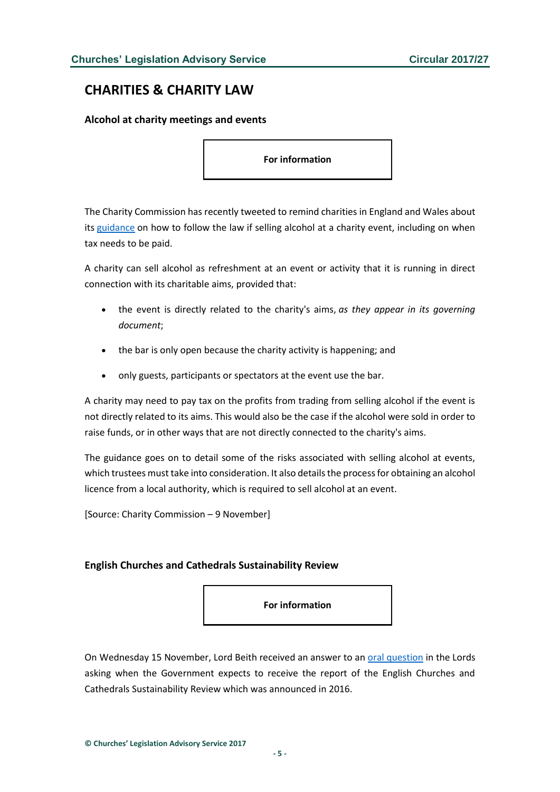# <span id="page-4-0"></span>**CHARITIES & CHARITY LAW**

#### <span id="page-4-1"></span>**Alcohol at charity meetings and events**

**For information**

The Charity Commission has recently tweeted to remind charities in England and Wales about its [guidance](http://www.gov.uk/guidance/alcohol-at-charity-meetings-and-events) on how to follow the law if selling alcohol at a charity event, including on when tax needs to be paid.

A charity can sell alcohol as refreshment at an event or activity that it is running in direct connection with its charitable aims, provided that:

- the event is directly related to the charity's aims, *as they appear in its governing document*;
- the bar is only open because the charity activity is happening; and
- only guests, participants or spectators at the event use the bar.

A charity may need to pay tax on the profits from trading from selling alcohol if the event is not directly related to its aims. This would also be the case if the alcohol were sold in order to raise funds, or in other ways that are not directly connected to the charity's aims.

The guidance goes on to detail some of the risks associated with selling alcohol at events, which trustees must take into consideration. It also details the process for obtaining an alcohol licence from a local authority, which is required to sell alcohol at an event.

[Source: Charity Commission – 9 November]

#### <span id="page-4-2"></span>**English Churches and Cathedrals Sustainability Review**

**For information**

On Wednesday 15 November, Lord Beith received an answer to an [oral question](hansard.parliament.uk/lords/2017-11-15/debates/787C3B9F-73B0-46D8-A774-D8079E693DF6/Debate) in the Lords asking when the Government expects to receive the report of the English Churches and Cathedrals Sustainability Review which was announced in 2016.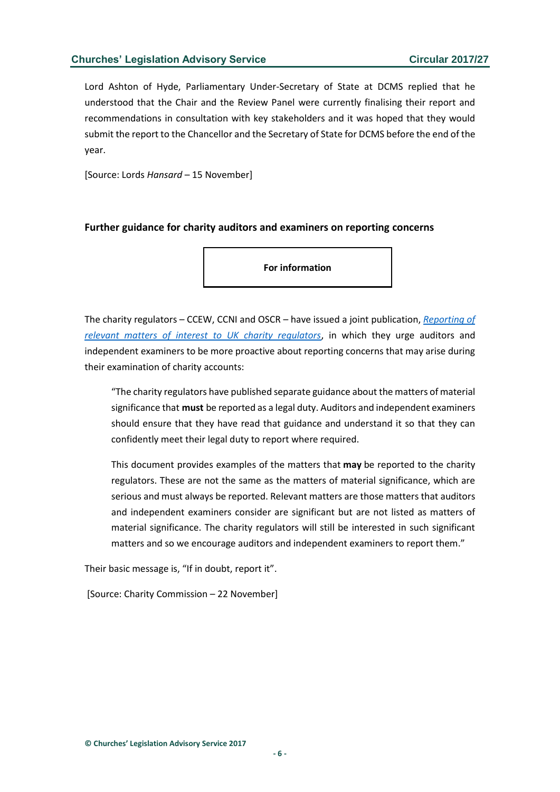Lord Ashton of Hyde, Parliamentary Under-Secretary of State at DCMS replied that he understood that the Chair and the Review Panel were currently finalising their report and recommendations in consultation with key stakeholders and it was hoped that they would submit the report to the Chancellor and the Secretary of State for DCMS before the end of the year.

[Source: Lords *Hansard* – 15 November]

#### <span id="page-5-0"></span>**Further guidance for charity auditors and examiners on reporting concerns**

**For information**

The charity regulators – CCEW, CCNI and OSCR – have issued a joint publication, *[Reporting of](https://www.gov.uk/government/uploads/system/uploads/attachment_data/file/661393/Reporting_of_relevant_matters_of_interest_to_UK_charity_regs_211117.pdf)  [relevant matters of interest to UK charity regulators](https://www.gov.uk/government/uploads/system/uploads/attachment_data/file/661393/Reporting_of_relevant_matters_of_interest_to_UK_charity_regs_211117.pdf)*, in which they urge auditors and independent examiners to be more proactive about reporting concerns that may arise during their examination of charity accounts:

"The charity regulators have published separate guidance about the matters of material significance that **must** be reported as a legal duty. Auditors and independent examiners should ensure that they have read that guidance and understand it so that they can confidently meet their legal duty to report where required.

This document provides examples of the matters that **may** be reported to the charity regulators. These are not the same as the matters of material significance, which are serious and must always be reported. Relevant matters are those matters that auditors and independent examiners consider are significant but are not listed as matters of material significance. The charity regulators will still be interested in such significant matters and so we encourage auditors and independent examiners to report them."

Their basic message is, "If in doubt, report it".

[Source: Charity Commission – 22 November]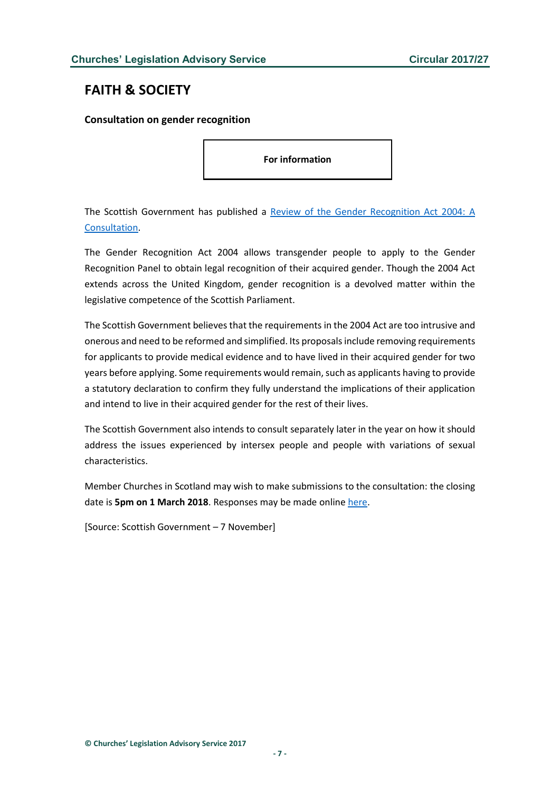# <span id="page-6-0"></span>**FAITH & SOCIETY**

#### <span id="page-6-1"></span>**Consultation on gender recognition**

**For information**

The Scottish Government has published a [Review of the Gender Recognition Act 2004: A](https://consult.gov.scot/family-law/review-of-the-gender-recognition-act-2004/user_uploads/sct1017251758-1_gender_p4--3-.pdf)  [Consultation.](https://consult.gov.scot/family-law/review-of-the-gender-recognition-act-2004/user_uploads/sct1017251758-1_gender_p4--3-.pdf)

The Gender Recognition Act 2004 allows transgender people to apply to the Gender Recognition Panel to obtain legal recognition of their acquired gender. Though the 2004 Act extends across the United Kingdom, gender recognition is a devolved matter within the legislative competence of the Scottish Parliament.

The Scottish Government believes that the requirements in the 2004 Act are too intrusive and onerous and need to be reformed and simplified. Its proposals include removing requirements for applicants to provide medical evidence and to have lived in their acquired gender for two years before applying. Some requirements would remain, such as applicants having to provide a statutory declaration to confirm they fully understand the implications of their application and intend to live in their acquired gender for the rest of their lives.

The Scottish Government also intends to consult separately later in the year on how it should address the issues experienced by intersex people and people with variations of sexual characteristics.

Member Churches in Scotland may wish to make submissions to the consultation: the closing date is **5pm on 1 March 2018**. Responses may be made online [here.](https://consult.gov.scot/family-law/review-of-the-gender-recognition-act-2004/)

[Source: Scottish Government – 7 November]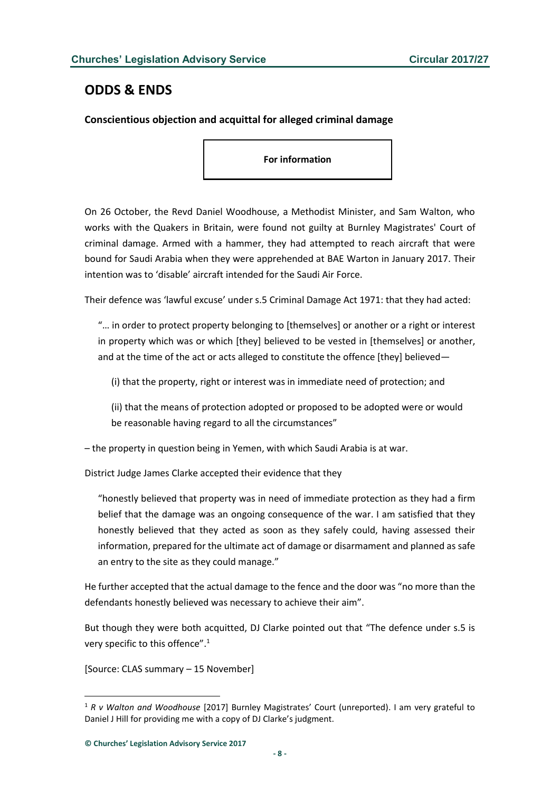# <span id="page-7-0"></span>**ODDS & ENDS**

# <span id="page-7-1"></span>**Conscientious objection and acquittal for alleged criminal damage**

**For information**

On 26 October, the Revd Daniel Woodhouse, a Methodist Minister, and Sam Walton, who works with the Quakers in Britain, were found not guilty at Burnley Magistrates' Court of criminal damage. Armed with a hammer, they had attempted to reach aircraft that were bound for Saudi Arabia when they were apprehended at BAE Warton in January 2017. Their intention was to 'disable' aircraft intended for the Saudi Air Force.

Their defence was 'lawful excuse' under s.5 Criminal Damage Act 1971: that they had acted:

"… in order to protect property belonging to [themselves] or another or a right or interest in property which was or which [they] believed to be vested in [themselves] or another, and at the time of the act or acts alleged to constitute the offence [they] believed—

(i) that the property, right or interest was in immediate need of protection; and

(ii) that the means of protection adopted or proposed to be adopted were or would be reasonable having regard to all the circumstances"

– the property in question being in Yemen, with which Saudi Arabia is at war.

District Judge James Clarke accepted their evidence that they

"honestly believed that property was in need of immediate protection as they had a firm belief that the damage was an ongoing consequence of the war. I am satisfied that they honestly believed that they acted as soon as they safely could, having assessed their information, prepared for the ultimate act of damage or disarmament and planned as safe an entry to the site as they could manage."

He further accepted that the actual damage to the fence and the door was "no more than the defendants honestly believed was necessary to achieve their aim".

But though they were both acquitted, DJ Clarke pointed out that "The defence under s.5 is very specific to this offence".<sup>1</sup>

[Source: CLAS summary – 15 November]

 $\overline{a}$ 

<sup>1</sup> *R v Walton and Woodhouse* [2017] Burnley Magistrates' Court (unreported). I am very grateful to Daniel J Hill for providing me with a copy of DJ Clarke's judgment.